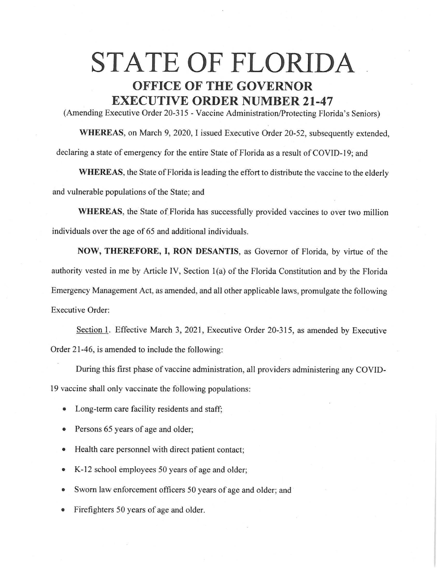## **STATE OF FLORIDA OFFICE OF THE GOVERNOR EXECUTIVE ORDER NUMBER 21-47**

(Amending Executive Order 20-315 - Vaccine Administration/Protecting Florida's Seniors)

**WHEREAS,** on March 9, 2020, I issued Executive Order 20-52, subsequently extended, declaring a state of emergency for the entire State of Florida as a result of COVID-19; and

WHEREAS, the State of Florida is leading the effort to distribute the vaccine to the elderly and vulnerable populations of the State; and

**WHEREAS,** the State of Florida has successfully provided vaccines to over two million individuals over the age of 65 and additional individuals.

**NOW, THEREFORE, I, RON DESANTIS,** as Governor of Florida, by virtue of the authority vested in me by Article IV, Section 1(a) of the Florida Constitution and by the Florida Emergency Management Act, as amended, and all other applicable laws, promulgate the following Executive Order:

Section 1. Effective March 3, 2021, Executive Order 20-315, as amended by Executive Order 21-46, is amended to include the following:

During this first phase of vaccine administration, all providers administering any COVID-

19 vaccine shall only vaccinate the following populations:

- Long-term care facility residents and staff;
- Persons 65 years of age and older;
- Health care personnel with direct patient contact;
- K-12 school employees 50 years of age and older;
- Sworn law enforcement officers 50 years of age and older; and
- Firefighters 50 years of age and older.